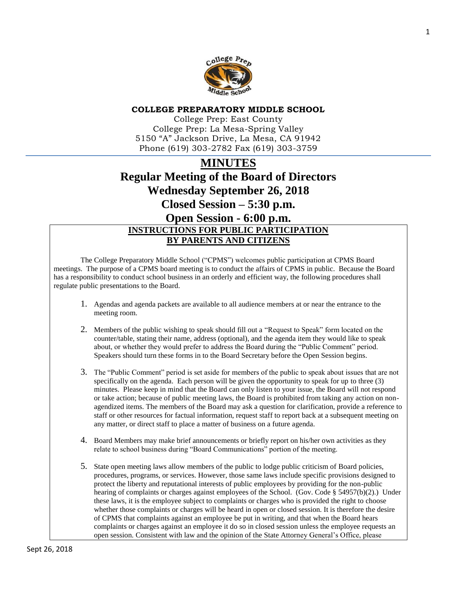

## **COLLEGE PREPARATORY MIDDLE SCHOOL**

College Prep: East County College Prep: La Mesa-Spring Valley 5150 "A" Jackson Drive, La Mesa, CA 91942 Phone (619) 303-2782 Fax (619) 303-3759

# **MINUTES Regular Meeting of the Board of Directors Wednesday September 26, 2018 Closed Session – 5:30 p.m. Open Session - 6:00 p.m. INSTRUCTIONS FOR PUBLIC PARTICIPATION BY PARENTS AND CITIZENS**

The College Preparatory Middle School ("CPMS") welcomes public participation at CPMS Board meetings. The purpose of a CPMS board meeting is to conduct the affairs of CPMS in public. Because the Board has a responsibility to conduct school business in an orderly and efficient way, the following procedures shall regulate public presentations to the Board.

- 1. Agendas and agenda packets are available to all audience members at or near the entrance to the meeting room.
- 2. Members of the public wishing to speak should fill out a "Request to Speak" form located on the counter/table, stating their name, address (optional), and the agenda item they would like to speak about, or whether they would prefer to address the Board during the "Public Comment" period. Speakers should turn these forms in to the Board Secretary before the Open Session begins.
- 3. The "Public Comment" period is set aside for members of the public to speak about issues that are not specifically on the agenda. Each person will be given the opportunity to speak for up to three (3) minutes. Please keep in mind that the Board can only listen to your issue, the Board will not respond or take action; because of public meeting laws, the Board is prohibited from taking any action on nonagendized items. The members of the Board may ask a question for clarification, provide a reference to staff or other resources for factual information, request staff to report back at a subsequent meeting on any matter, or direct staff to place a matter of business on a future agenda.
- 4. Board Members may make brief announcements or briefly report on his/her own activities as they relate to school business during "Board Communications" portion of the meeting.
- 5. State open meeting laws allow members of the public to lodge public criticism of Board policies, procedures, programs, or services. However, those same laws include specific provisions designed to protect the liberty and reputational interests of public employees by providing for the non-public hearing of complaints or charges against employees of the School. (Gov. Code § 54957(b)(2).) Under these laws, it is the employee subject to complaints or charges who is provided the right to choose whether those complaints or charges will be heard in open or closed session. It is therefore the desire of CPMS that complaints against an employee be put in writing, and that when the Board hears complaints or charges against an employee it do so in closed session unless the employee requests an open session. Consistent with law and the opinion of the State Attorney General's Office, please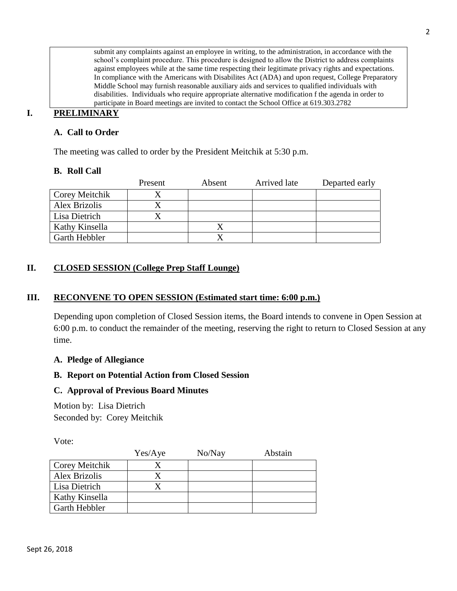submit any complaints against an employee in writing, to the administration, in accordance with the school's complaint procedure. This procedure is designed to allow the District to address complaints against employees while at the same time respecting their legitimate privacy rights and expectations. In compliance with the Americans with Disabilites Act (ADA) and upon request, College Preparatory Middle School may furnish reasonable auxiliary aids and services to qualified individuals with disabilities. Individuals who require appropriate alternative modification f the agenda in order to participate in Board meetings are invited to contact the School Office at 619.303.2782

## **I. PRELIMINARY**

## **A. Call to Order**

The meeting was called to order by the President Meitchik at 5:30 p.m.

## **B. Roll Call**

|                | Present | Absent | Arrived late | Departed early |
|----------------|---------|--------|--------------|----------------|
| Corey Meitchik |         |        |              |                |
| Alex Brizolis  |         |        |              |                |
| Lisa Dietrich  |         |        |              |                |
| Kathy Kinsella |         |        |              |                |
| Garth Hebbler  |         |        |              |                |

## **II. CLOSED SESSION (College Prep Staff Lounge)**

## **III. RECONVENE TO OPEN SESSION (Estimated start time: 6:00 p.m.)**

Depending upon completion of Closed Session items, the Board intends to convene in Open Session at 6:00 p.m. to conduct the remainder of the meeting, reserving the right to return to Closed Session at any time.

## **A. Pledge of Allegiance**

## **B. Report on Potential Action from Closed Session**

## **C. Approval of Previous Board Minutes**

Motion by: Lisa Dietrich Seconded by: Corey Meitchik

Vote:

|                      | Yes/Aye | No/Nay | Abstain |
|----------------------|---------|--------|---------|
| Corey Meitchik       |         |        |         |
| <b>Alex Brizolis</b> |         |        |         |
| Lisa Dietrich        |         |        |         |
| Kathy Kinsella       |         |        |         |
| Garth Hebbler        |         |        |         |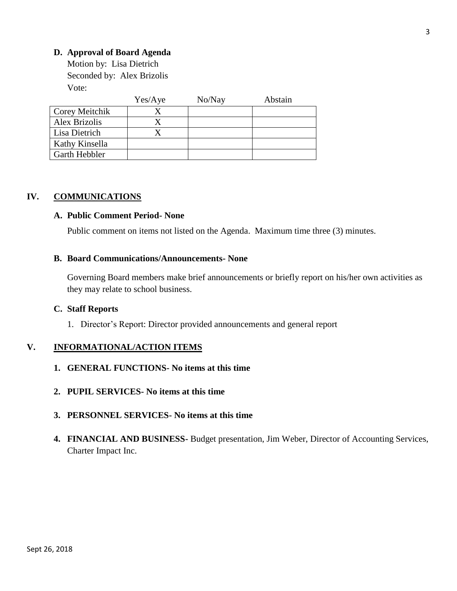## **D. Approval of Board Agenda**

Motion by: Lisa Dietrich Seconded by: Alex Brizolis Vote:

|                       | Yes/Aye | No/Nay | Abstain |
|-----------------------|---------|--------|---------|
| <b>Corey Meitchik</b> |         |        |         |
| Alex Brizolis         |         |        |         |
| Lisa Dietrich         |         |        |         |
| Kathy Kinsella        |         |        |         |
| <b>Garth Hebbler</b>  |         |        |         |

## **IV. COMMUNICATIONS**

#### **A. Public Comment Period- None**

Public comment on items not listed on the Agenda. Maximum time three (3) minutes.

#### **B. Board Communications/Announcements- None**

Governing Board members make brief announcements or briefly report on his/her own activities as they may relate to school business.

#### **C. Staff Reports**

1. Director's Report: Director provided announcements and general report

## **V. INFORMATIONAL/ACTION ITEMS**

- **1. GENERAL FUNCTIONS- No items at this time**
- **2. PUPIL SERVICES- No items at this time**
- **3. PERSONNEL SERVICES- No items at this time**
- **4. FINANCIAL AND BUSINESS-** Budget presentation, Jim Weber, Director of Accounting Services, Charter Impact Inc.